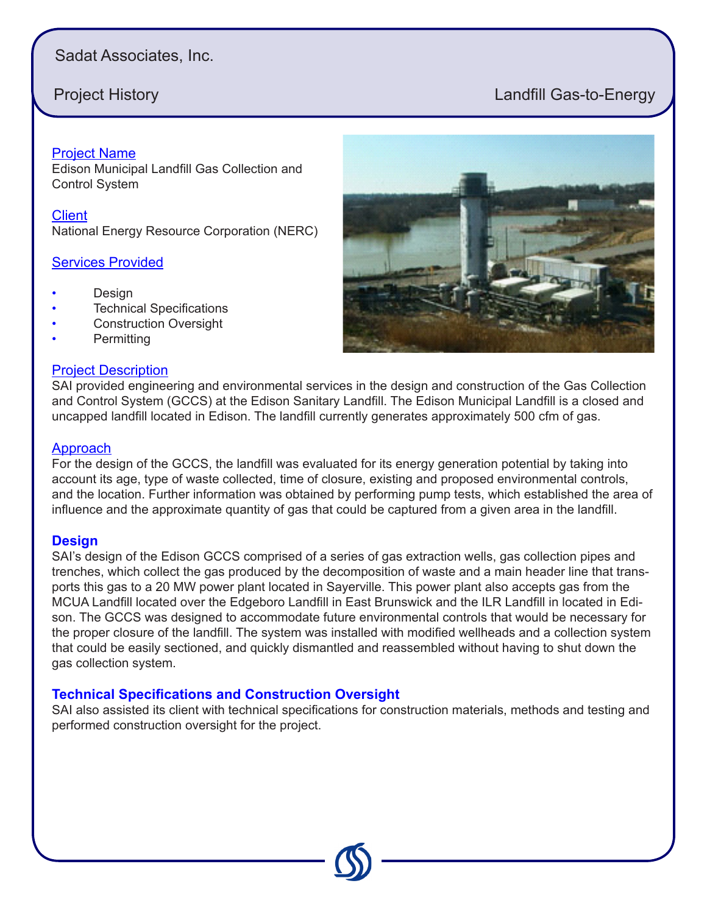# Sadat Associates, Inc.

# **Project History Landfill Gas-to-Energy**

Project Name Edison Municipal Landfill Gas Collection and Control System

**Client** National Energy Resource Corporation (NERC)

### **Services Provided**

- **Design**
- **Technical Specifications**
- Construction Oversight
- **Permitting**

#### Project Description



SAI provided engineering and environmental services in the design and construction of the Gas Collection and Control System (GCCS) at the Edison Sanitary Landfill. The Edison Municipal Landfill is a closed and uncapped landfill located in Edison. The landfill currently generates approximately 500 cfm of gas.

#### **Approach**

For the design of the GCCS, the landfill was evaluated for its energy generation potential by taking into account its age, type of waste collected, time of closure, existing and proposed environmental controls, and the location. Further information was obtained by performing pump tests, which established the area of influence and the approximate quantity of gas that could be captured from a given area in the landfill.

#### **Design**

SAI's design of the Edison GCCS comprised of a series of gas extraction wells, gas collection pipes and trenches, which collect the gas produced by the decomposition of waste and a main header line that transports this gas to a 20 MW power plant located in Sayerville. This power plant also accepts gas from the MCUA Landfill located over the Edgeboro Landfill in East Brunswick and the ILR Landfill in located in Edison. The GCCS was designed to accommodate future environmental controls that would be necessary for the proper closure of the landfill. The system was installed with modified wellheads and a collection system that could be easily sectioned, and quickly dismantled and reassembled without having to shut down the gas collection system.

### **Technical Specifications and Construction Oversight**

SAI also assisted its client with technical specifications for construction materials, methods and testing and performed construction oversight for the project.